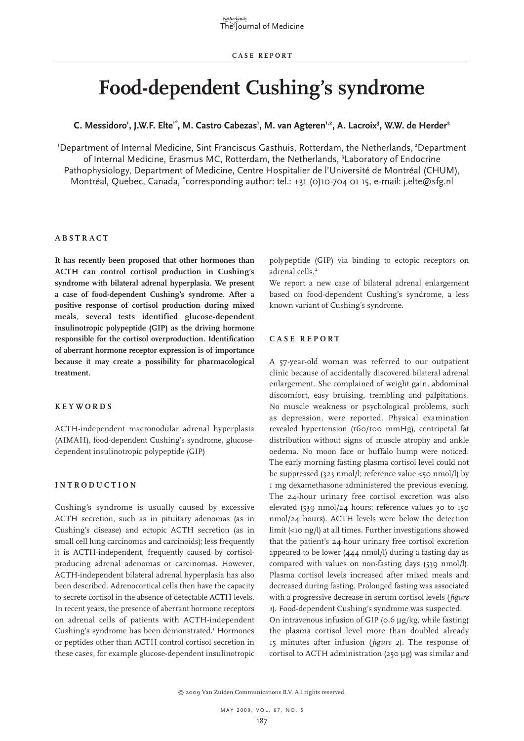# **Food-dependent Cushing's syndrome**

C. Messidoro<sup>1</sup>, J.W.F. Elte<sup>1\*</sup>, M. Castro Cabezas<sup>1</sup>, M. van Agteren<sup>1,2</sup>, A. Lacroix<sup>3</sup>, W.W. de Herder<sup>2</sup>

<sup>1</sup>Department of Internal Medicine, Sint Franciscus Gasthuis, Rotterdam, the Netherlands, <sup>2</sup>Department of Internal Medicine, Erasmus MC, Rotterdam, the Netherlands, <sup>3</sup>Laboratory of Endocrine Pathophysiology, Department of Medicine, Centre Hospitalier de l'Université de Montréal (CHUM), Montréal, Quebec, Canada, \*corresponding author: tel.: +31 (0)10-704 01 15, e-mail: j.elte@sfg.nl

# **A b s t r a c t**

**It has recently been proposed that other hormones than ACTH can control cortisol production in Cushing's syndrome with bilateral adrenal hyperplasia. We present a case of food-dependent Cushing's syndrome. After a positive response of cortisol production during mixed meals, several tests identified glucose-dependent insulinotropic polypeptide (GIP) as the driving hormone responsible for the cortisol overproduction. Identification of aberrant hormone receptor expression is of importance because it may create a possibility for pharmacological treatment.**

#### **K e y w o r d s**

ACTH-independent macronodular adrenal hyperplasia (AIMAH), food-dependent Cushing's syndrome, glucosedependent insulinotropic polypeptide (GIP)

### **I n t r o d uc t i o n**

Cushing's syndrome is usually caused by excessive ACTH secretion, such as in pituitary adenomas (as in Cushing's disease) and ectopic ACTH secretion (as in small cell lung carcinomas and carcinoids); less frequently it is ACTH-independent, frequently caused by cortisolproducing adrenal adenomas or carcinomas. However, ACTH-independent bilateral adrenal hyperplasia has also been described. Adrenocortical cells then have the capacity to secrete cortisol in the absence of detectable ACTH levels. In recent years, the presence of aberrant hormone receptors on adrenal cells of patients with ACTH-independent Cushing's syndrome has been demonstrated.<sup>1</sup> Hormones or peptides other than ACTH control cortisol secretion in these cases, for example glucose-dependent insulinotropic

polypeptide (GIP) via binding to ectopic receptors on adrenal cells.<sup>2</sup>

We report a new case of bilateral adrenal enlargement based on food-dependent Cushing's syndrome, a less known variant of Cushing's syndrome.

# **C a s e r e p o r t**

A 57-year-old woman was referred to our outpatient clinic because of accidentally discovered bilateral adrenal enlargement. She complained of weight gain, abdominal discomfort, easy bruising, trembling and palpitations. No muscle weakness or psychological problems, such as depression, were reported. Physical examination revealed hypertension (160/100 mmHg), centripetal fat distribution without signs of muscle atrophy and ankle oedema. No moon face or buffalo hump were noticed. The early morning fasting plasma cortisol level could not be suppressed (323 nmol/l; reference value <50 nmol/l) by 1 mg dexamethasone administered the previous evening. The 24-hour urinary free cortisol excretion was also elevated (539 nmol/24 hours; reference values 30 to 150 nmol/24 hours). ACTH levels were below the detection limit (<10 ng/l) at all times. Further investigations showed that the patient's 24-hour urinary free cortisol excretion appeared to be lower (444 nmol/l) during a fasting day as compared with values on non-fasting days (539 nmol/l). Plasma cortisol levels increased after mixed meals and decreased during fasting. Prolonged fasting was associated with a progressive decrease in serum cortisol levels (*figure 1*). Food-dependent Cushing's syndrome was suspected. On intravenous infusion of GIP (0.6 µg/kg, while fasting) the plasma cortisol level more than doubled already 15 minutes after infusion (*figure 2*). The response of cortisol to ACTH administration (250 µg) was similar and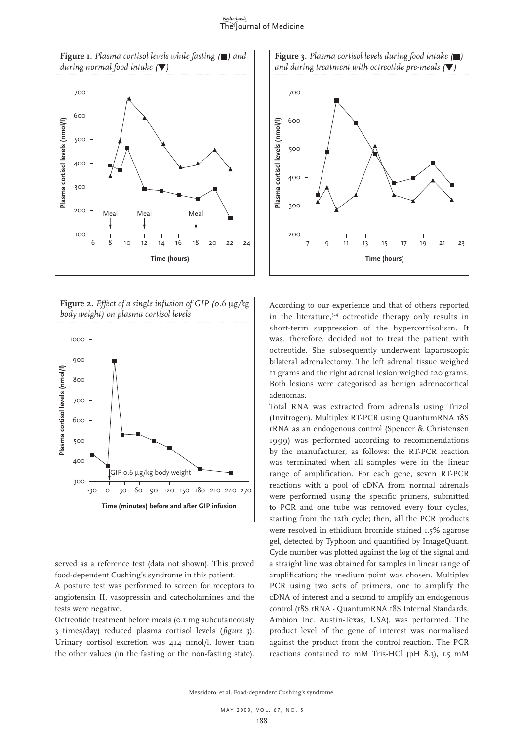#### Netherlands The Journal of Medicine





served as a reference test (data not shown). This proved food-dependent Cushing's syndrome in this patient.

A posture test was performed to screen for receptors to angiotensin II, vasopressin and catecholamines and the tests were negative.

Octreotide treatment before meals (0.1 mg subcutaneously 3 times/day) reduced plasma cortisol levels (*figure 3*). Urinary cortisol excretion was 414 nmol/l, lower than the other values (in the fasting or the non-fasting state).



According to our experience and that of others reported in the literature,<sup>3,4</sup> octreotide therapy only results in short-term suppression of the hypercortisolism. It was, therefore, decided not to treat the patient with octreotide. She subsequently underwent laparoscopic bilateral adrenalectomy. The left adrenal tissue weighed 11 grams and the right adrenal lesion weighed 120 grams. Both lesions were categorised as benign adrenocortical adenomas.

Total RNA was extracted from adrenals using Trizol (Invitrogen). Multiplex RT-PCR using QuantumRNA 18S rRNA as an endogenous control (Spencer & Christensen 1999) was performed according to recommendations by the manufacturer, as follows: the RT-PCR reaction was terminated when all samples were in the linear range of amplification. For each gene, seven RT-PCR reactions with a pool of cDNA from normal adrenals were performed using the specific primers, submitted to PCR and one tube was removed every four cycles, starting from the 12th cycle; then, all the PCR products were resolved in ethidium bromide stained 1.5% agarose gel, detected by Typhoon and quantified by ImageQuant. Cycle number was plotted against the log of the signal and a straight line was obtained for samples in linear range of amplification; the medium point was chosen. Multiplex PCR using two sets of primers, one to amplify the cDNA of interest and a second to amplify an endogenous control (18S rRNA - QuantumRNA 18S Internal Standards, Ambion Inc. Austin-Texas, USA), was performed. The product level of the gene of interest was normalised against the product from the control reaction. The PCR reactions contained 10 mM Tris-HCl (pH 8.3), 1.5 mM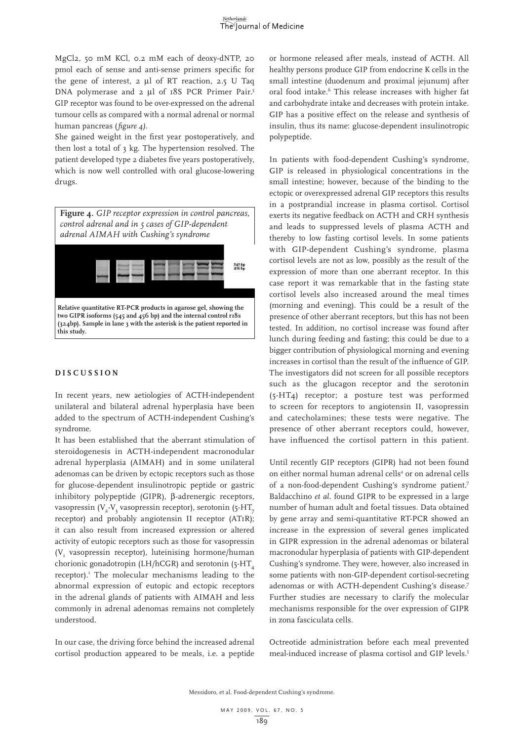MgCl2, 50 mM KCl, 0.2 mM each of deoxy-dNTP, 20 pmol each of sense and anti-sense primers specific for the gene of interest, 2 µl of RT reaction, 2.5 U Taq DNA polymerase and 2 µl of 18S PCR Primer Pair.<sup>5</sup> GIP receptor was found to be over-expressed on the adrenal tumour cells as compared with a normal adrenal or normal human pancreas (*figure 4).*

She gained weight in the first year postoperatively, and then lost a total of 3 kg. The hypertension resolved. The patient developed type 2 diabetes five years postoperatively, which is now well controlled with oral glucose-lowering drugs.



### **D i s cu s s i o n**

In recent years, new aetiologies of ACTH-independent unilateral and bilateral adrenal hyperplasia have been added to the spectrum of ACTH-independent Cushing's syndrome.

It has been established that the aberrant stimulation of steroidogenesis in ACTH-independent macronodular adrenal hyperplasia (AIMAH) and in some unilateral adenomas can be driven by ectopic receptors such as those for glucose-dependent insulinotropic peptide or gastric inhibitory polypeptide (GIPR), β-adrenergic receptors, vasopressin (V<sub>2</sub>-V<sub>2</sub> vasopressin receptor), serotonin (5-HT<sub>7</sub> receptor) and probably angiotensin II receptor (AT1R); it can also result from increased expression or altered activity of eutopic receptors such as those for vasopressin  $(V<sub>r</sub>$  vasopressin receptor), luteinising hormone/human chorionic gonadotropin  $(LH/hCGR)$  and serotonin (5-HT receptor).<sup>1</sup> The molecular mechanisms leading to the abnormal expression of eutopic and ectopic receptors in the adrenal glands of patients with AIMAH and less commonly in adrenal adenomas remains not completely understood.

In our case, the driving force behind the increased adrenal cortisol production appeared to be meals, i.e. a peptide or hormone released after meals, instead of ACTH. All healthy persons produce GIP from endocrine K cells in the small intestine (duodenum and proximal jejunum) after oral food intake.<sup>6</sup> This release increases with higher fat and carbohydrate intake and decreases with protein intake. GIP has a positive effect on the release and synthesis of insulin, thus its name: glucose-dependent insulinotropic polypeptide.

In patients with food-dependent Cushing's syndrome, GIP is released in physiological concentrations in the small intestine; however, because of the binding to the ectopic or overexpressed adrenal GIP receptors this results in a postprandial increase in plasma cortisol. Cortisol exerts its negative feedback on ACTH and CRH synthesis and leads to suppressed levels of plasma ACTH and thereby to low fasting cortisol levels. In some patients with GIP-dependent Cushing's syndrome, plasma cortisol levels are not as low, possibly as the result of the expression of more than one aberrant receptor. In this case report it was remarkable that in the fasting state cortisol levels also increased around the meal times (morning and evening). This could be a result of the presence of other aberrant receptors, but this has not been tested. In addition, no cortisol increase was found after lunch during feeding and fasting; this could be due to a bigger contribution of physiological morning and evening increases in cortisol than the result of the influence of GIP. The investigators did not screen for all possible receptors such as the glucagon receptor and the serotonin (5-HT4) receptor; a posture test was performed to screen for receptors to angiotensin II, vasopressin and catecholamines; these tests were negative. The presence of other aberrant receptors could, however, have influenced the cortisol pattern in this patient.

Until recently GIP receptors (GIPR) had not been found on either normal human adrenal cells<sup>2</sup> or on adrenal cells of a non-food-dependent Cushing's syndrome patient.7 Baldacchino *et al.* found GIPR to be expressed in a large number of human adult and foetal tissues. Data obtained by gene array and semi-quantitative RT-PCR showed an increase in the expression of several genes implicated in GIPR expression in the adrenal adenomas or bilateral macronodular hyperplasia of patients with GIP-dependent Cushing's syndrome. They were, however, also increased in some patients with non-GIP-dependent cortisol-secreting adenomas or with ACTH-dependent Cushing's disease.7 Further studies are necessary to clarify the molecular mechanisms responsible for the over expression of GIPR in zona fasciculata cells.

Octreotide administration before each meal prevented meal-induced increase of plasma cortisol and GIP levels.3

Messidoro, et al. Food-dependent Cushing's syndrome.